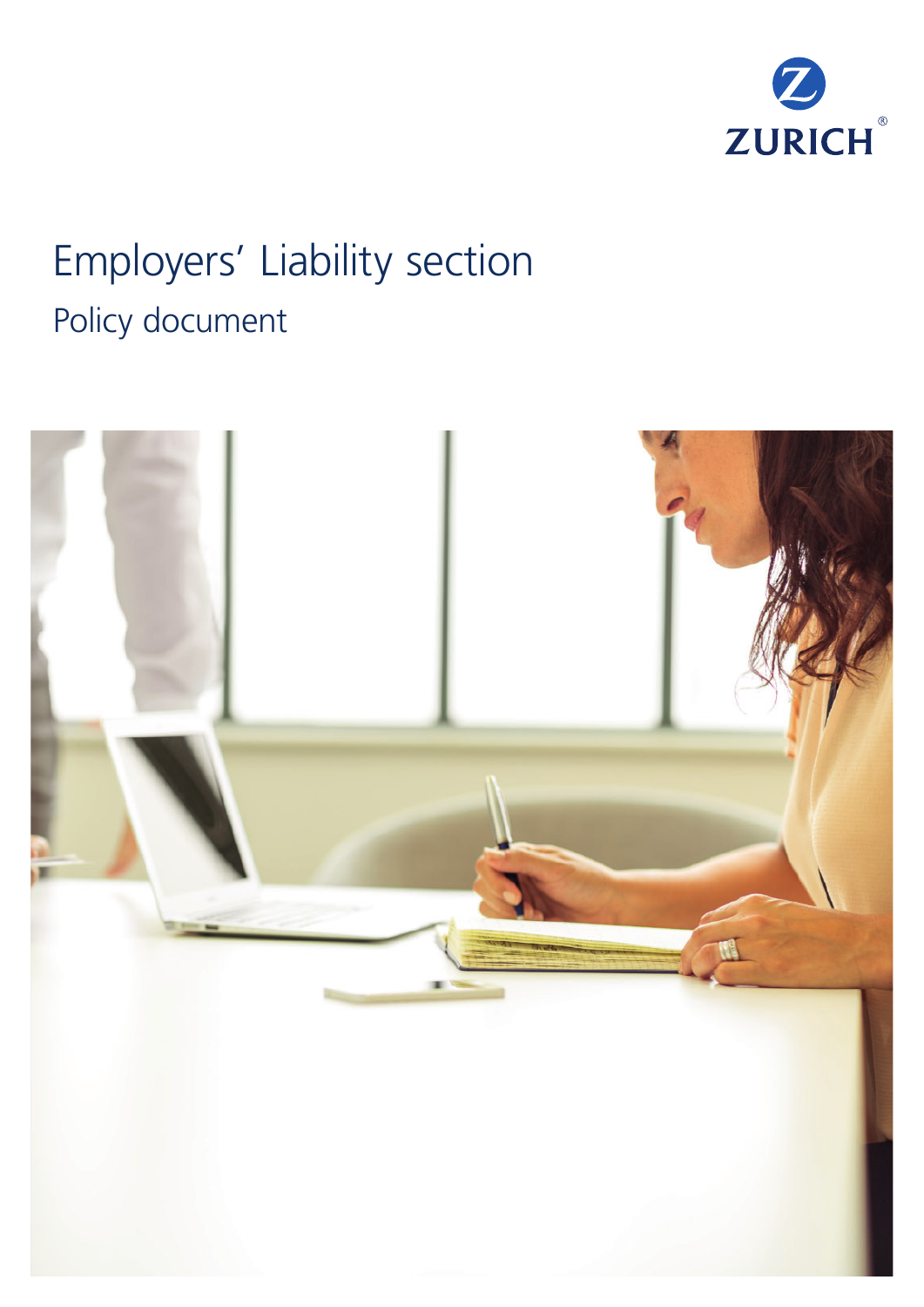

# Employers' Liability section Policy document

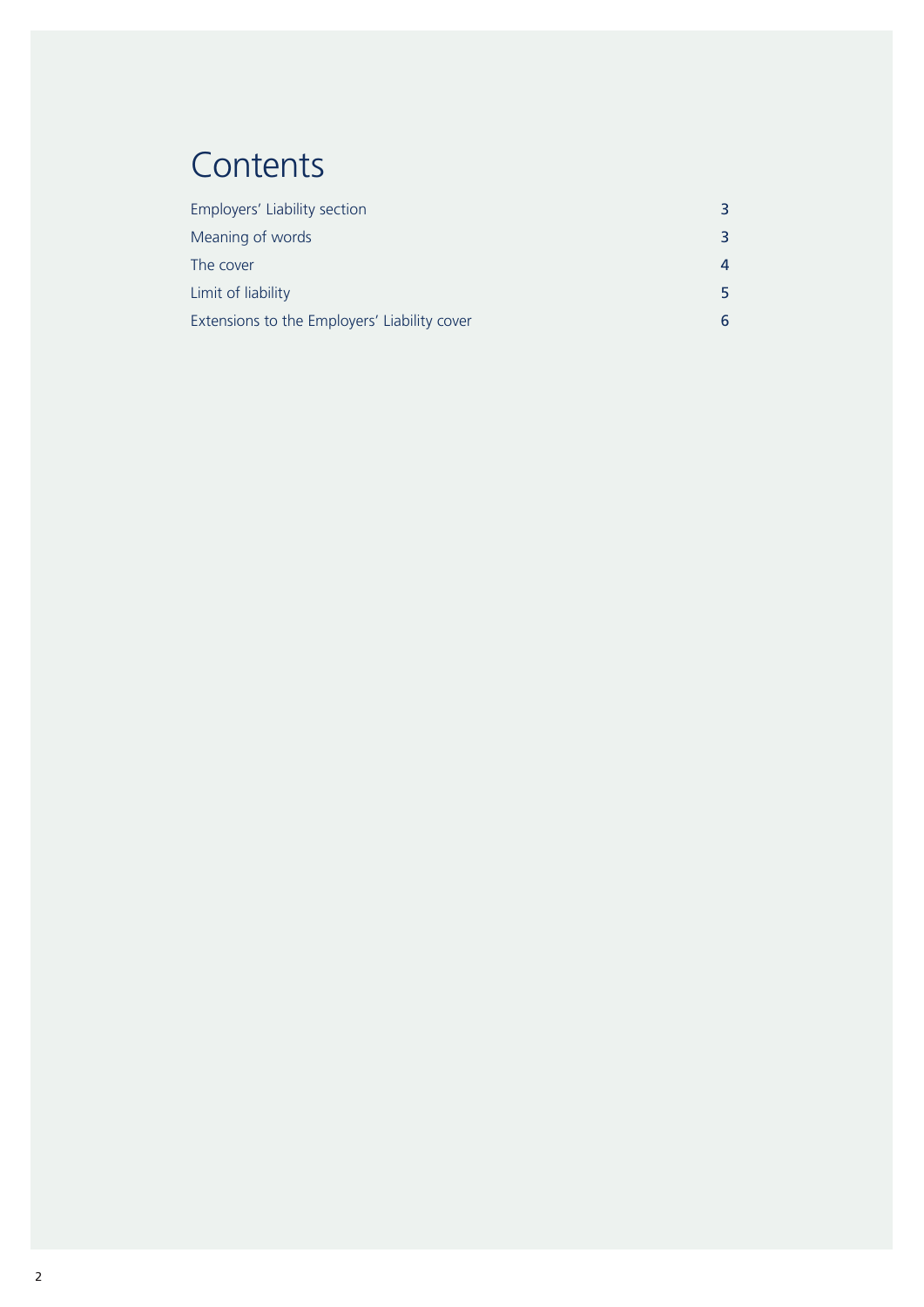## **Contents**

| Employers' Liability section                 | 3 |
|----------------------------------------------|---|
| Meaning of words                             | 3 |
| The cover                                    | 4 |
| Limit of liability                           | 5 |
| Extensions to the Employers' Liability cover | 6 |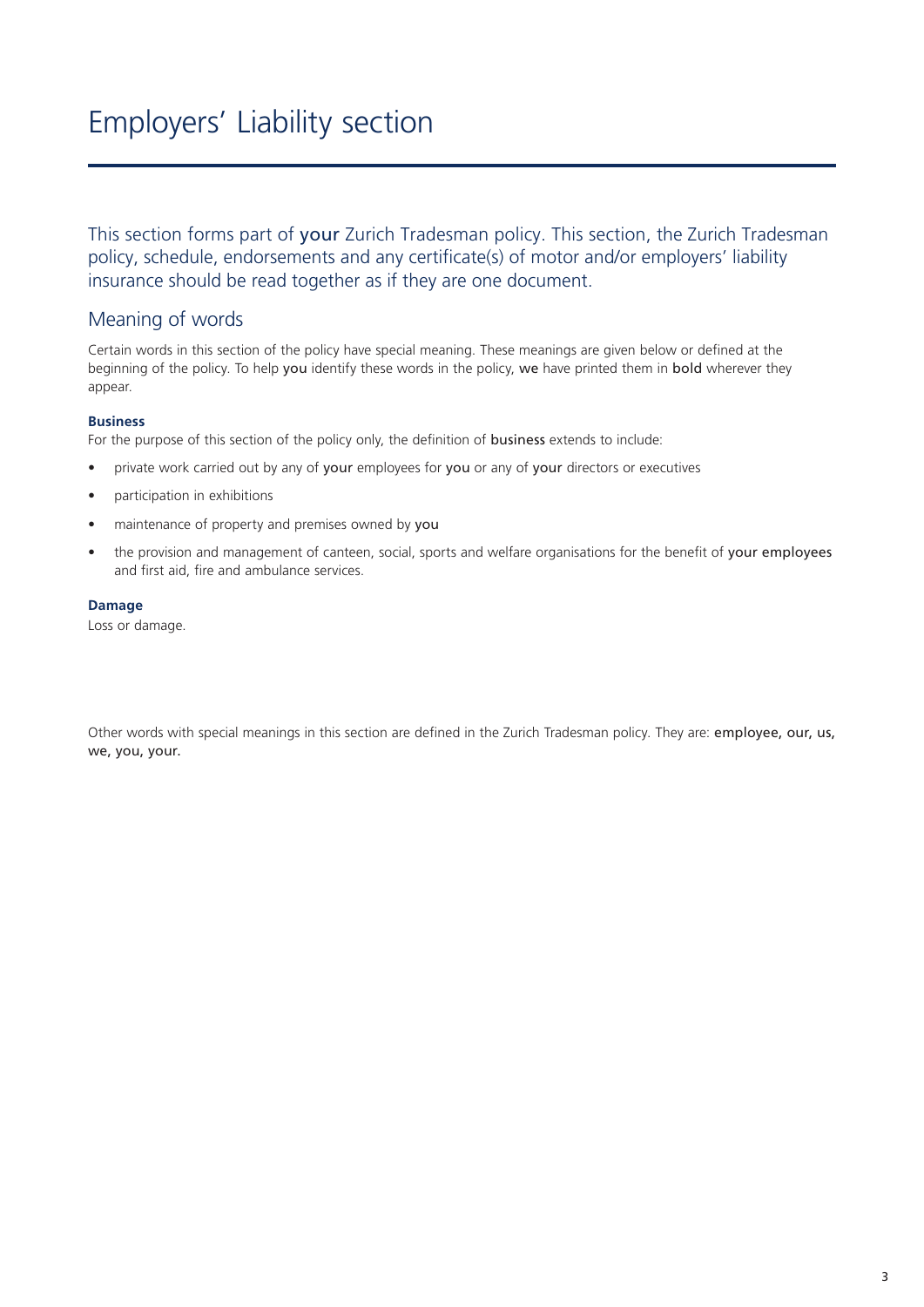## Employers' Liability section

This section forms part of your Zurich Tradesman policy. This section, the Zurich Tradesman policy, schedule, endorsements and any certificate(s) of motor and/or employers' liability insurance should be read together as if they are one document.

### Meaning of words

Certain words in this section of the policy have special meaning. These meanings are given below or defined at the beginning of the policy. To help you identify these words in the policy, we have printed them in bold wherever they appear.

#### **Business**

For the purpose of this section of the policy only, the definition of **business** extends to include:

- private work carried out by any of your employees for you or any of your directors or executives
- participation in exhibitions
- maintenance of property and premises owned by you
- the provision and management of canteen, social, sports and welfare organisations for the benefit of your employees and first aid, fire and ambulance services.

#### **Damage**

Loss or damage.

Other words with special meanings in this section are defined in the Zurich Tradesman policy. They are: employee, our, us, we, you, your.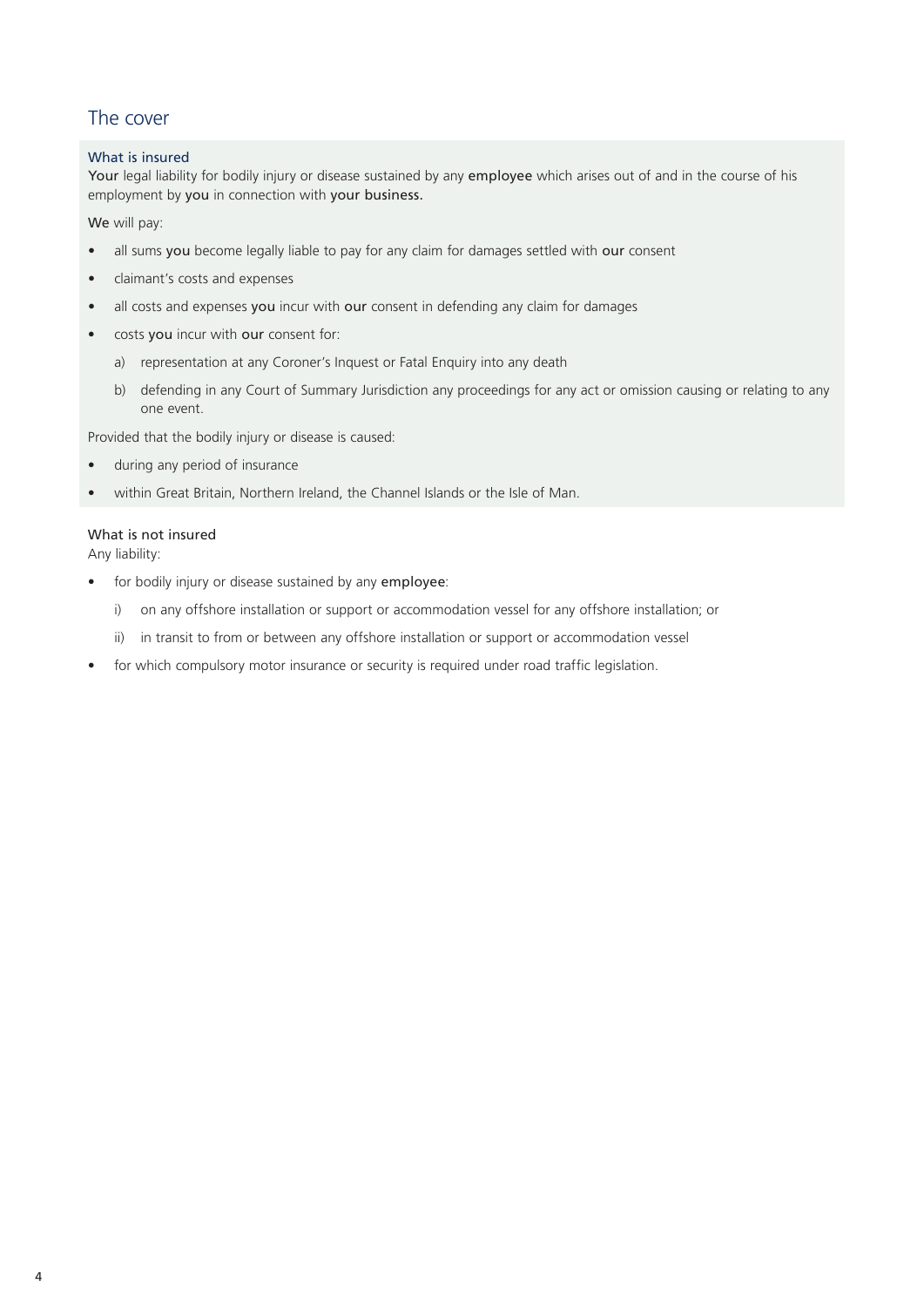## The cover

#### What is insured

Your legal liability for bodily injury or disease sustained by any employee which arises out of and in the course of his employment by you in connection with your business.

We will pay:

- all sums you become legally liable to pay for any claim for damages settled with our consent
- claimant's costs and expenses
- all costs and expenses you incur with our consent in defending any claim for damages
- costs you incur with our consent for:
	- a) representation at any Coroner's Inquest or Fatal Enquiry into any death
	- b) defending in any Court of Summary Jurisdiction any proceedings for any act or omission causing or relating to any one event.

Provided that the bodily injury or disease is caused:

- during any period of insurance
- within Great Britain, Northern Ireland, the Channel Islands or the Isle of Man.

#### What is not insured

Any liability:

- for bodily injury or disease sustained by any employee:
	- i) on any offshore installation or support or accommodation vessel for any offshore installation; or
	- ii) in transit to from or between any offshore installation or support or accommodation vessel
- for which compulsory motor insurance or security is required under road traffic legislation.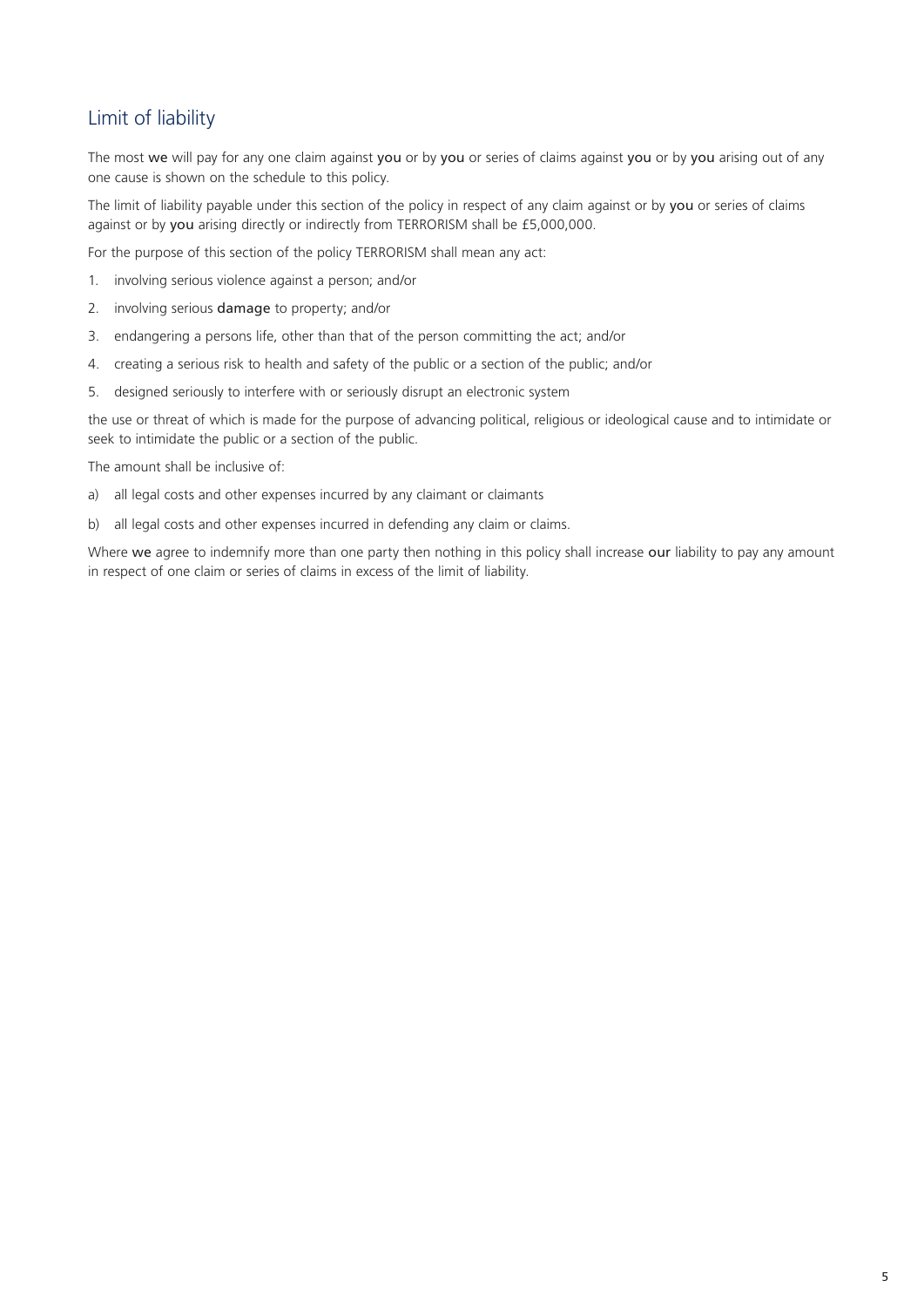## Limit of liability

The most we will pay for any one claim against you or by you or series of claims against you or by you arising out of any one cause is shown on the schedule to this policy.

The limit of liability payable under this section of the policy in respect of any claim against or by you or series of claims against or by you arising directly or indirectly from TERRORISM shall be £5,000,000.

For the purpose of this section of the policy TERRORISM shall mean any act:

- 1. involving serious violence against a person; and/or
- 2. involving serious damage to property; and/or
- 3. endangering a persons life, other than that of the person committing the act; and/or
- 4. creating a serious risk to health and safety of the public or a section of the public; and/or
- 5. designed seriously to interfere with or seriously disrupt an electronic system

the use or threat of which is made for the purpose of advancing political, religious or ideological cause and to intimidate or seek to intimidate the public or a section of the public.

The amount shall be inclusive of:

- a) all legal costs and other expenses incurred by any claimant or claimants
- b) all legal costs and other expenses incurred in defending any claim or claims.

Where we agree to indemnify more than one party then nothing in this policy shall increase our liability to pay any amount in respect of one claim or series of claims in excess of the limit of liability.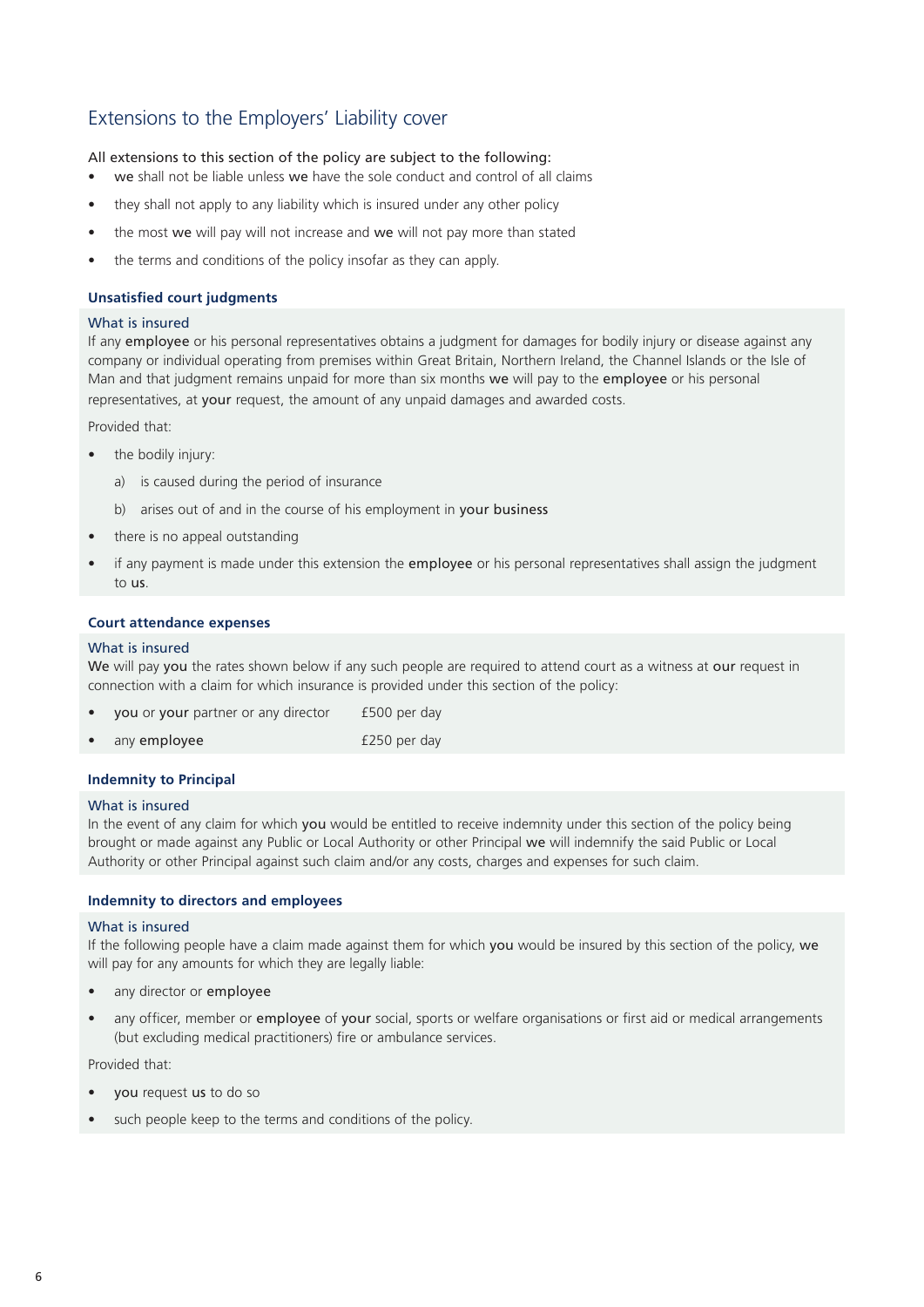## Extensions to the Employers' Liability cover

All extensions to this section of the policy are subject to the following:

- we shall not be liable unless we have the sole conduct and control of all claims
- they shall not apply to any liability which is insured under any other policy
- the most we will pay will not increase and we will not pay more than stated
- the terms and conditions of the policy insofar as they can apply.

#### **Unsatisfied court judgments**

#### What is insured

If any employee or his personal representatives obtains a judgment for damages for bodily injury or disease against any company or individual operating from premises within Great Britain, Northern Ireland, the Channel Islands or the Isle of Man and that judgment remains unpaid for more than six months we will pay to the employee or his personal representatives, at your request, the amount of any unpaid damages and awarded costs.

Provided that:

- the bodily injury:
	- a) is caused during the period of insurance
	- b) arises out of and in the course of his employment in your business
- there is no appeal outstanding
- if any payment is made under this extension the employee or his personal representatives shall assign the judgment to us.

#### **Court attendance expenses**

#### What is insured

We will pay you the rates shown below if any such people are required to attend court as a witness at our request in connection with a claim for which insurance is provided under this section of the policy:

| you or your partner or any director | £500 per day |
|-------------------------------------|--------------|
| any employee                        | £250 per day |

#### **Indemnity to Principal**

#### What is insured

In the event of any claim for which you would be entitled to receive indemnity under this section of the policy being brought or made against any Public or Local Authority or other Principal we will indemnify the said Public or Local Authority or other Principal against such claim and/or any costs, charges and expenses for such claim.

#### **Indemnity to directors and employees**

#### What is insured

If the following people have a claim made against them for which you would be insured by this section of the policy, we will pay for any amounts for which they are legally liable:

- any director or employee
- any officer, member or employee of your social, sports or welfare organisations or first aid or medical arrangements (but excluding medical practitioners) fire or ambulance services.

Provided that:

- you request us to do so
- such people keep to the terms and conditions of the policy.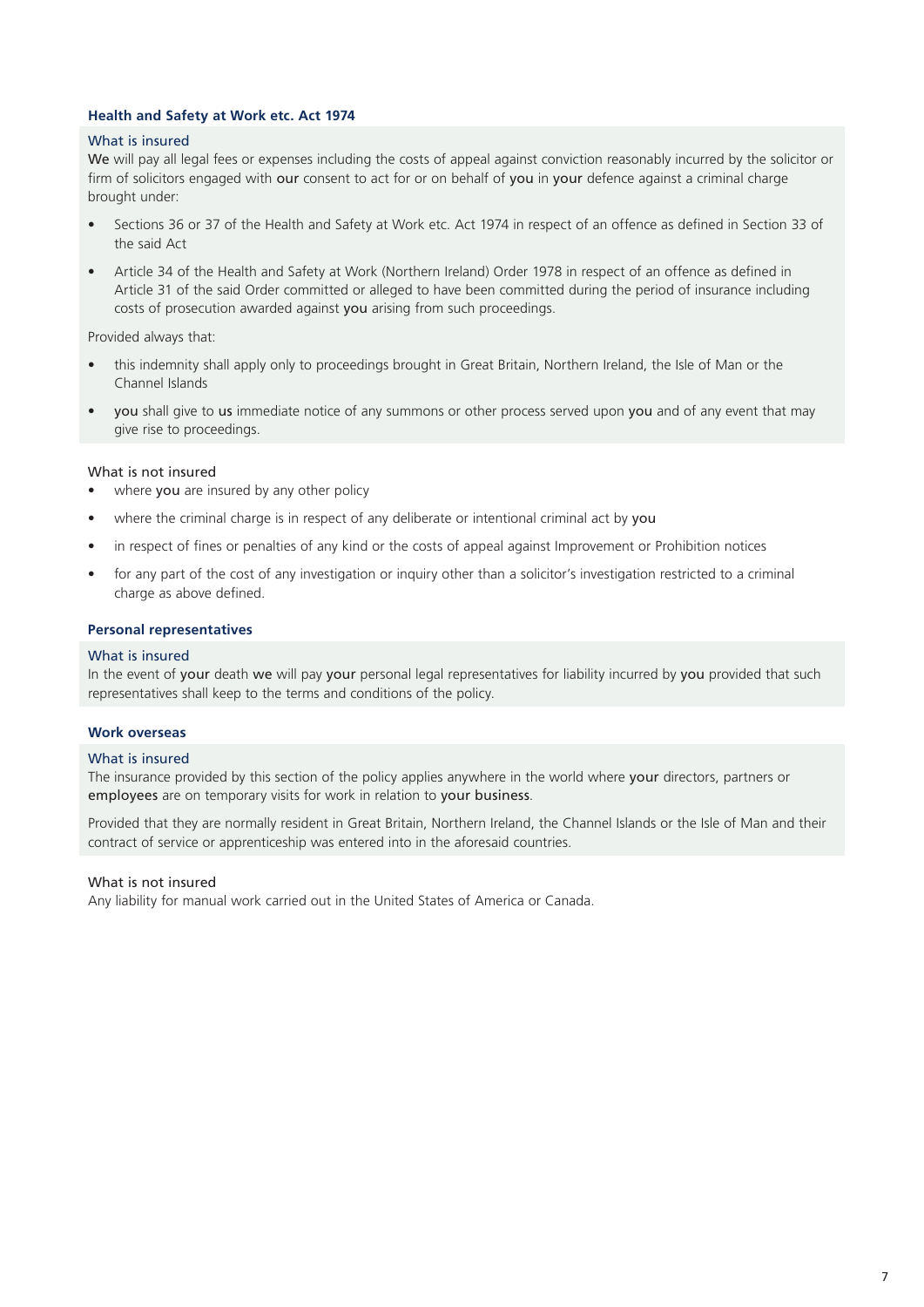#### **Health and Safety at Work etc. Act 1974**

#### What is insured

We will pay all legal fees or expenses including the costs of appeal against conviction reasonably incurred by the solicitor or firm of solicitors engaged with our consent to act for or on behalf of you in your defence against a criminal charge brought under:

- Sections 36 or 37 of the Health and Safety at Work etc. Act 1974 in respect of an offence as defined in Section 33 of the said Act
- Article 34 of the Health and Safety at Work (Northern Ireland) Order 1978 in respect of an offence as defined in Article 31 of the said Order committed or alleged to have been committed during the period of insurance including costs of prosecution awarded against you arising from such proceedings.

Provided always that:

- this indemnity shall apply only to proceedings brought in Great Britain, Northern Ireland, the Isle of Man or the Channel Islands
- you shall give to us immediate notice of any summons or other process served upon you and of any event that may give rise to proceedings.

#### What is not insured

- where you are insured by any other policy
- where the criminal charge is in respect of any deliberate or intentional criminal act by you
- in respect of fines or penalties of any kind or the costs of appeal against Improvement or Prohibition notices
- for any part of the cost of any investigation or inquiry other than a solicitor's investigation restricted to a criminal charge as above defined.

#### **Personal representatives**

#### What is insured

In the event of your death we will pay your personal legal representatives for liability incurred by you provided that such representatives shall keep to the terms and conditions of the policy.

#### **Work overseas**

#### What is insured

The insurance provided by this section of the policy applies anywhere in the world where your directors, partners or employees are on temporary visits for work in relation to your business.

Provided that they are normally resident in Great Britain, Northern Ireland, the Channel Islands or the Isle of Man and their contract of service or apprenticeship was entered into in the aforesaid countries.

#### What is not insured

Any liability for manual work carried out in the United States of America or Canada.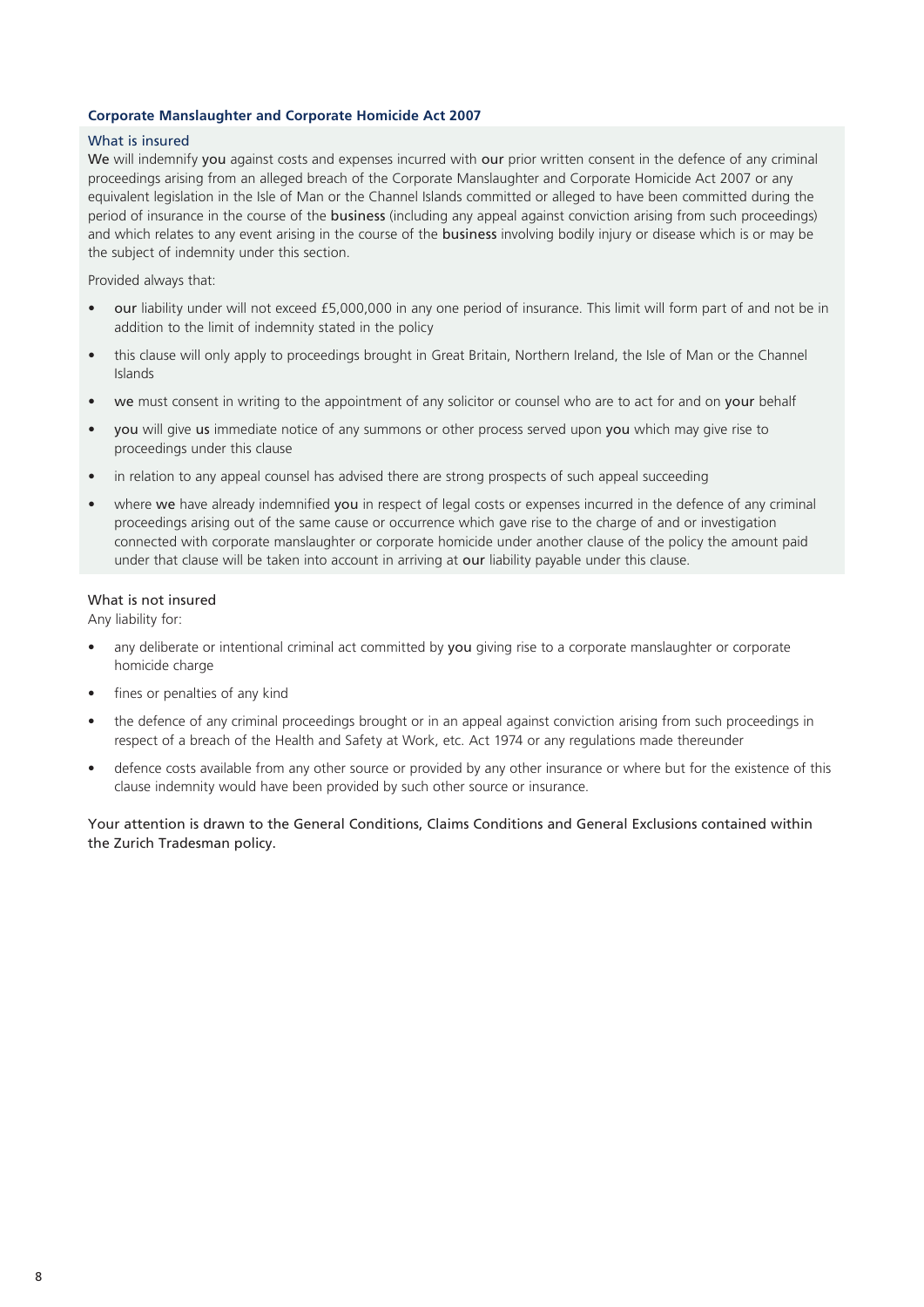#### **Corporate Manslaughter and Corporate Homicide Act 2007**

#### What is insured

We will indemnify you against costs and expenses incurred with our prior written consent in the defence of any criminal proceedings arising from an alleged breach of the Corporate Manslaughter and Corporate Homicide Act 2007 or any equivalent legislation in the Isle of Man or the Channel Islands committed or alleged to have been committed during the period of insurance in the course of the business (including any appeal against conviction arising from such proceedings) and which relates to any event arising in the course of the **business** involving bodily injury or disease which is or may be the subject of indemnity under this section.

Provided always that:

- our liability under will not exceed £5,000,000 in any one period of insurance. This limit will form part of and not be in addition to the limit of indemnity stated in the policy
- this clause will only apply to proceedings brought in Great Britain, Northern Ireland, the Isle of Man or the Channel Islands
- we must consent in writing to the appointment of any solicitor or counsel who are to act for and on your behalf
- you will give us immediate notice of any summons or other process served upon you which may give rise to proceedings under this clause
- in relation to any appeal counsel has advised there are strong prospects of such appeal succeeding
- where we have already indemnified you in respect of legal costs or expenses incurred in the defence of any criminal proceedings arising out of the same cause or occurrence which gave rise to the charge of and or investigation connected with corporate manslaughter or corporate homicide under another clause of the policy the amount paid under that clause will be taken into account in arriving at our liability payable under this clause.

### What is not insured

Any liability for:

- any deliberate or intentional criminal act committed by you giving rise to a corporate manslaughter or corporate homicide charge
- fines or penalties of any kind
- the defence of any criminal proceedings brought or in an appeal against conviction arising from such proceedings in respect of a breach of the Health and Safety at Work, etc. Act 1974 or any regulations made thereunder
- defence costs available from any other source or provided by any other insurance or where but for the existence of this clause indemnity would have been provided by such other source or insurance.

Your attention is drawn to the General Conditions, Claims Conditions and General Exclusions contained within the Zurich Tradesman policy.